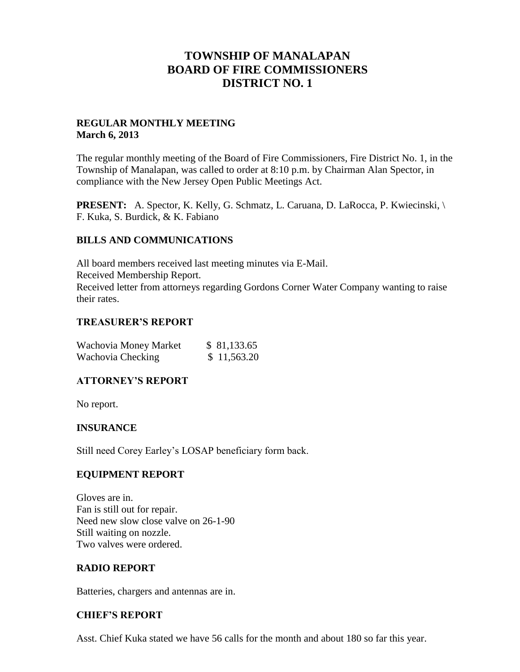# **TOWNSHIP OF MANALAPAN BOARD OF FIRE COMMISSIONERS DISTRICT NO. 1**

#### **REGULAR MONTHLY MEETING March 6, 2013**

The regular monthly meeting of the Board of Fire Commissioners, Fire District No. 1, in the Township of Manalapan, was called to order at 8:10 p.m. by Chairman Alan Spector, in compliance with the New Jersey Open Public Meetings Act.

**PRESENT:** A. Spector, K. Kelly, G. Schmatz, L. Caruana, D. LaRocca, P. Kwiecinski, \ F. Kuka, S. Burdick, & K. Fabiano

#### **BILLS AND COMMUNICATIONS**

All board members received last meeting minutes via E-Mail. Received Membership Report. Received letter from attorneys regarding Gordons Corner Water Company wanting to raise their rates.

#### **TREASURER'S REPORT**

| Wachovia Money Market | \$81,133.65 |
|-----------------------|-------------|
| Wachovia Checking     | \$11,563.20 |

# **ATTORNEY'S REPORT**

No report.

# **INSURANCE**

Still need Corey Earley's LOSAP beneficiary form back.

# **EQUIPMENT REPORT**

Gloves are in. Fan is still out for repair. Need new slow close valve on 26-1-90 Still waiting on nozzle. Two valves were ordered.

#### **RADIO REPORT**

Batteries, chargers and antennas are in.

# **CHIEF'S REPORT**

Asst. Chief Kuka stated we have 56 calls for the month and about 180 so far this year.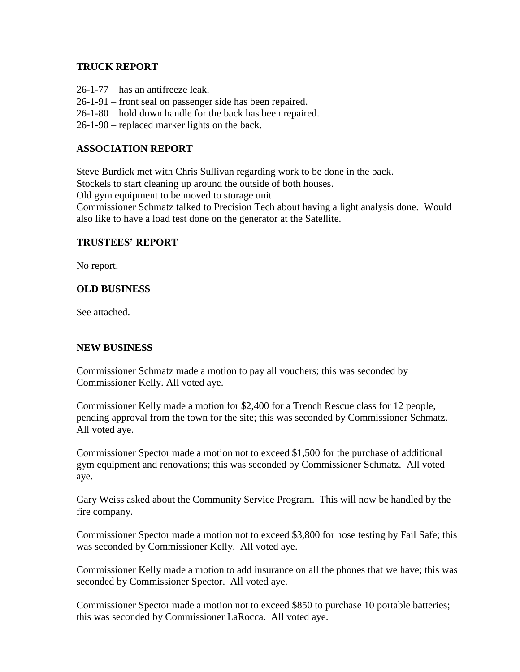#### **TRUCK REPORT**

26-1-77 – has an antifreeze leak.

26-1-91 – front seal on passenger side has been repaired.

26-1-80 – hold down handle for the back has been repaired.

26-1-90 – replaced marker lights on the back.

#### **ASSOCIATION REPORT**

Steve Burdick met with Chris Sullivan regarding work to be done in the back.

Stockels to start cleaning up around the outside of both houses.

Old gym equipment to be moved to storage unit.

Commissioner Schmatz talked to Precision Tech about having a light analysis done. Would also like to have a load test done on the generator at the Satellite.

#### **TRUSTEES' REPORT**

No report.

#### **OLD BUSINESS**

See attached.

# **NEW BUSINESS**

Commissioner Schmatz made a motion to pay all vouchers; this was seconded by Commissioner Kelly. All voted aye.

Commissioner Kelly made a motion for \$2,400 for a Trench Rescue class for 12 people, pending approval from the town for the site; this was seconded by Commissioner Schmatz. All voted aye.

Commissioner Spector made a motion not to exceed \$1,500 for the purchase of additional gym equipment and renovations; this was seconded by Commissioner Schmatz. All voted aye.

Gary Weiss asked about the Community Service Program. This will now be handled by the fire company.

Commissioner Spector made a motion not to exceed \$3,800 for hose testing by Fail Safe; this was seconded by Commissioner Kelly. All voted aye.

Commissioner Kelly made a motion to add insurance on all the phones that we have; this was seconded by Commissioner Spector. All voted aye.

Commissioner Spector made a motion not to exceed \$850 to purchase 10 portable batteries; this was seconded by Commissioner LaRocca. All voted aye.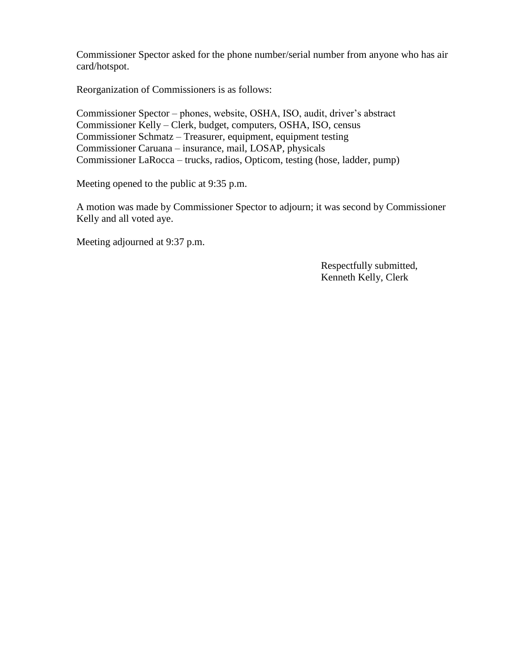Commissioner Spector asked for the phone number/serial number from anyone who has air card/hotspot.

Reorganization of Commissioners is as follows:

Commissioner Spector – phones, website, OSHA, ISO, audit, driver's abstract Commissioner Kelly – Clerk, budget, computers, OSHA, ISO, census Commissioner Schmatz – Treasurer, equipment, equipment testing Commissioner Caruana – insurance, mail, LOSAP, physicals Commissioner LaRocca – trucks, radios, Opticom, testing (hose, ladder, pump)

Meeting opened to the public at 9:35 p.m.

A motion was made by Commissioner Spector to adjourn; it was second by Commissioner Kelly and all voted aye.

Meeting adjourned at 9:37 p.m.

 Respectfully submitted, Kenneth Kelly, Clerk